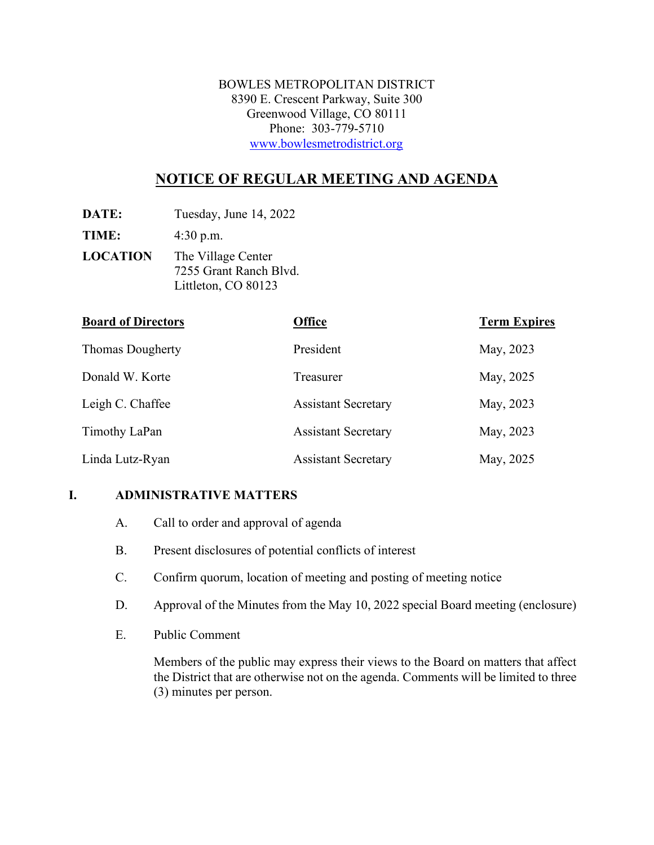BOWLES METROPOLITAN DISTRICT 8390 E. Crescent Parkway, Suite 300 Greenwood Village, CO 80111 Phone: 303-779-5710 [www.bowlesmetrodistrict.org](http://www.bowlesmetrodistrict.org/) 

# **NOTICE OF REGULAR MEETING AND AGENDA**

**DATE:** Tuesday, June 14, 2022

**TIME:** 4:30 p.m.

**LOCATION** The Village Center 7255 Grant Ranch Blvd. Littleton, CO 80123

| <b>Board of Directors</b> | <b>Office</b>              | <b>Term Expires</b> |
|---------------------------|----------------------------|---------------------|
| <b>Thomas Dougherty</b>   | President                  | May, 2023           |
| Donald W. Korte           | Treasurer                  | May, 2025           |
| Leigh C. Chaffee          | <b>Assistant Secretary</b> | May, 2023           |
| Timothy LaPan             | <b>Assistant Secretary</b> | May, 2023           |
| Linda Lutz-Ryan           | <b>Assistant Secretary</b> | May, 2025           |

### **I. ADMINISTRATIVE MATTERS**

- A. Call to order and approval of agenda
- B. Present disclosures of potential conflicts of interest
- C. Confirm quorum, location of meeting and posting of meeting notice
- D. Approval of the Minutes from the May 10, 2022 special Board meeting (enclosure)
- E. Public Comment

Members of the public may express their views to the Board on matters that affect the District that are otherwise not on the agenda. Comments will be limited to three (3) minutes per person.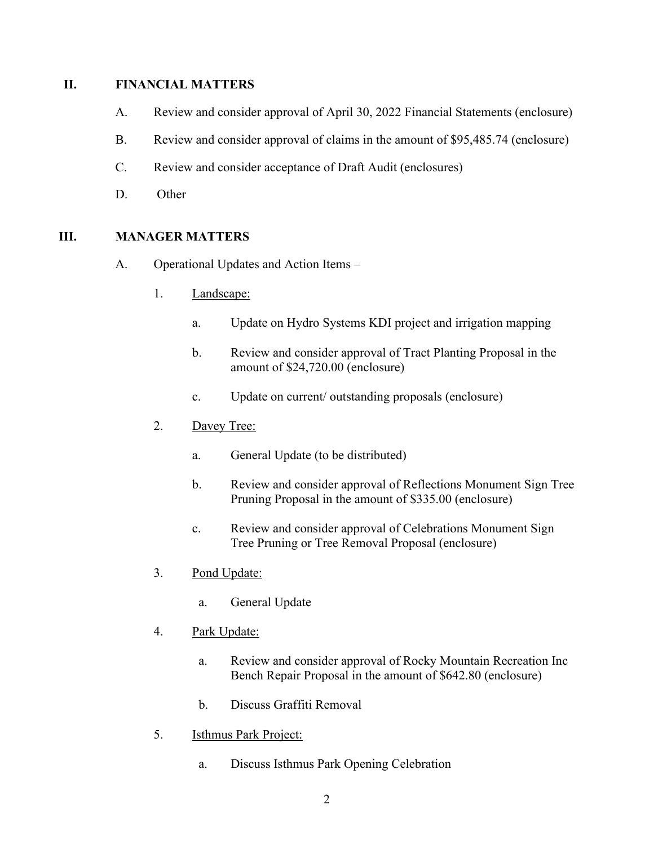#### **II. FINANCIAL MATTERS**

- A. Review and consider approval of April 30, 2022 Financial Statements (enclosure)
- B. Review and consider approval of claims in the amount of \$95,485.74 (enclosure)
- C. Review and consider acceptance of Draft Audit (enclosures)
- D. Other

### **III. MANAGER MATTERS**

- A. Operational Updates and Action Items
	- 1. Landscape:
		- a. Update on Hydro Systems KDI project and irrigation mapping
		- b. Review and consider approval of Tract Planting Proposal in the amount of \$24,720.00 (enclosure)
		- c. Update on current/ outstanding proposals (enclosure)
	- 2. Davey Tree:
		- a. General Update (to be distributed)
		- b. Review and consider approval of Reflections Monument Sign Tree Pruning Proposal in the amount of \$335.00 (enclosure)
		- c. Review and consider approval of Celebrations Monument Sign Tree Pruning or Tree Removal Proposal (enclosure)
	- 3. Pond Update:
		- a. General Update
	- 4. Park Update:
		- a. Review and consider approval of Rocky Mountain Recreation Inc Bench Repair Proposal in the amount of \$642.80 (enclosure)
		- b. Discuss Graffiti Removal
	- 5. Isthmus Park Project:
		- a. Discuss Isthmus Park Opening Celebration